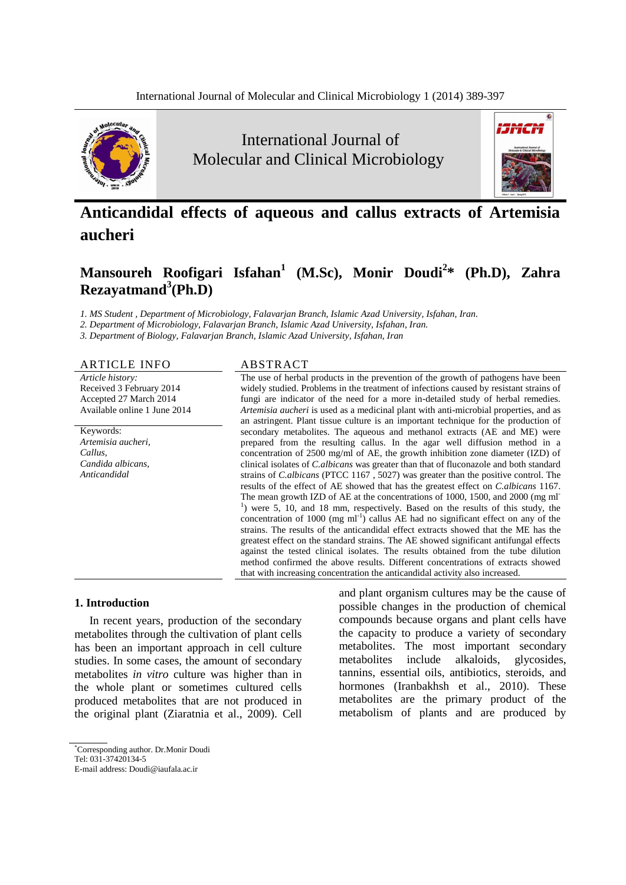

International Journal of Molecular and Clinical Microbiology



# **Anticandidal effects of aqueous and callus extracts of Artemisia aucheri**

# **Mansoureh Roofigari Isfahan<sup>1</sup> (M.Sc), Monir Doudi<sup>2</sup> \* (Ph.D), Zahra Rezayatmand<sup>3</sup> (Ph.D)**

*1. MS Student , Department of Microbiology, Falavarjan Branch, Islamic Azad University, Isfahan, Iran.*

*2. Department of Microbiology, Falavarjan Branch, Islamic Azad University, Isfahan, Iran.*

*3. Department of Biology, Falavarjan Branch, Islamic Azad University, Isfahan, Iran*

#### ARTICLE INFO ABSTRACT

*Article history:* Received 3 February 2014 Accepted 27 March 2014 Available online 1 June 2014

Keywords: *Artemisia aucheri, Callus, Candida albicans, Anticandidal*

The use of herbal products in the prevention of the growth of pathogens have been widely studied. Problems in the treatment of infections caused by resistant strains of fungi are indicator of the need for a more in-detailed study of herbal remedies. *Artemisia aucheri* is used as a medicinal plant with anti-microbial properties, and as an astringent. Plant tissue culture is an important technique for the production of secondary metabolites. The aqueous and methanol extracts (AE and ME) were prepared from the resulting callus. In the agar well diffusion method in a concentration of 2500 mg/ml of AE, the growth inhibition zone diameter (IZD) of clinical isolates of *C.albicans* was greater than that of fluconazole and both standard strains of *C.albicans* (PTCC 1167 , 5027) was greater than the positive control. The results of the effect of AE showed that has the greatest effect on *C.albicans* 1167. The mean growth IZD of AE at the concentrations of 1000, 1500, and 2000 (mg ml-<sup>1</sup>) were 5, 10, and 18 mm, respectively. Based on the results of this study, the concentration of 1000 (mg  $ml^{-1}$ ) callus AE had no significant effect on any of the strains. The results of the anticandidal effect extracts showed that the ME has the greatest effect on the standard strains. The AE showed significant antifungal effects against the tested clinical isolates. The results obtained from the tube dilution method confirmed the above results. Different concentrations of extracts showed that with increasing concentration the anticandidal activity also increased.

## **1. Introduction**

In recent years, production of the secondary metabolites through the cultivation of plant cells has been an important approach in cell culture studies. In some cases, the amount of secondary metabolites *in vitro* culture was higher than in the whole plant or sometimes cultured cells produced metabolites that are not produced in the original plant (Ziaratnia et al., 2009). Cell

and plant organism cultures may be the cause of possible changes in the production of chemical compounds because organs and plant cells have the capacity to produce a variety of secondary metabolites. The most important secondary metabolites include alkaloids, glycosides, tannins, essential oils, antibiotics, steroids, and hormones (Iranbakhsh et al., 2010). These metabolites are the primary product of the metabolism of plants and are produced by

<sup>\*</sup>Corresponding author. Dr.Monir Doudi Tel: 031-37420134-5

E-mail address: Doudi@iaufala.ac.ir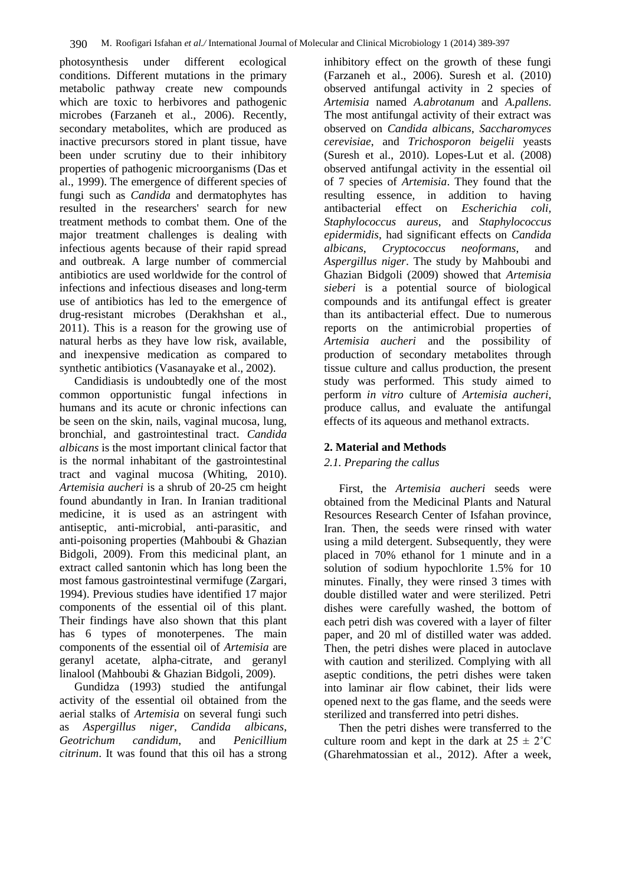photosynthesis under different ecological conditions. Different mutations in the primary metabolic pathway create new compounds which are toxic to herbivores and pathogenic microbes (Farzaneh et al., 2006). Recently, secondary metabolites, which are produced as inactive precursors stored in plant tissue, have been under scrutiny due to their inhibitory properties of pathogenic microorganisms (Das et al., 1999). The emergence of different species of fungi such as *Candida* and dermatophytes has resulted in the researchers' search for new treatment methods to combat them. One of the major treatment challenges is dealing with infectious agents because of their rapid spread and outbreak. A large number of commercial antibiotics are used worldwide for the control of infections and infectious diseases and long-term use of antibiotics has led to the emergence of drug-resistant microbes (Derakhshan et al., 2011). This is a reason for the growing use of natural herbs as they have low risk, available, and inexpensive medication as compared to synthetic antibiotics (Vasanayake et al., 2002).

Candidiasis is undoubtedly one of the most common opportunistic fungal infections in humans and its acute or chronic infections can be seen on the skin, nails, vaginal mucosa, lung, bronchial, and gastrointestinal tract. *Candida albicans* is the most important clinical factor that is the normal inhabitant of the gastrointestinal tract and vaginal mucosa (Whiting, 2010). *Artemisia aucheri* is a shrub of 20-25 cm height found abundantly in Iran. In Iranian traditional medicine, it is used as an astringent with antiseptic, anti-microbial, anti-parasitic, and anti-poisoning properties (Mahboubi & Ghazian Bidgoli, 2009). From this medicinal plant, an extract called santonin which has long been the most famous gastrointestinal vermifuge (Zargari, 1994). Previous studies have identified 17 major components of the essential oil of this plant. Their findings have also shown that this plant has 6 types of monoterpenes. The main components of the essential oil of *Artemisia* are geranyl acetate, alpha-citrate, and geranyl linalool (Mahboubi & Ghazian Bidgoli, 2009).

Gundidza (1993) studied the antifungal activity of the essential oil obtained from the aerial stalks of *Artemisia* on several fungi such as *Aspergillus niger*, *Candida albicans*, *Geotrichum candidum*, and *Penicillium citrinum*. It was found that this oil has a strong inhibitory effect on the growth of these fungi (Farzaneh et al., 2006). Suresh et al. (2010) observed antifungal activity in 2 species of *Artemisia* named *A.abrotanum* and *A.pallens*. The most antifungal activity of their extract was observed on *Candida albicans*, *Saccharomyces cerevisiae*, and *Trichosporon beigelii* yeasts (Suresh et al., 2010). Lopes-Lut et al. (2008) observed antifungal activity in the essential oil of 7 species of *Artemisia*. They found that the resulting essence, in addition to having antibacterial effect on *Escherichia coli, Staphylococcus aureus*, and *Staphylococcus epidermidis*, had significant effects on *Candida albicans*, *Cryptococcus neoformans*, and *Aspergillus niger*. The study by Mahboubi and Ghazian Bidgoli (2009) showed that *Artemisia sieberi* is a potential source of biological compounds and its antifungal effect is greater than its antibacterial effect. Due to numerous reports on the antimicrobial properties of *Artemisia aucheri* and the possibility of production of secondary metabolites through tissue culture and callus production, the present study was performed. This study aimed to perform *in vitro* culture of *Artemisia aucheri*, produce callus, and evaluate the antifungal effects of its aqueous and methanol extracts.

## **2. Material and Methods**

#### *2.1. Preparing the callus*

First, the *Artemisia aucheri* seeds were obtained from the Medicinal Plants and Natural Resources Research Center of Isfahan province, Iran. Then, the seeds were rinsed with water using a mild detergent. Subsequently, they were placed in 70% ethanol for 1 minute and in a solution of sodium hypochlorite 1.5% for 10 minutes. Finally, they were rinsed 3 times with double distilled water and were sterilized. Petri dishes were carefully washed, the bottom of each petri dish was covered with a layer of filter paper, and 20 ml of distilled water was added. Then, the petri dishes were placed in autoclave with caution and sterilized. Complying with all aseptic conditions, the petri dishes were taken into laminar air flow cabinet, their lids were opened next to the gas flame, and the seeds were sterilized and transferred into petri dishes.

Then the petri dishes were transferred to the culture room and kept in the dark at  $25 \pm 2^{\circ}$ C (Gharehmatossian et al., 2012). After a week,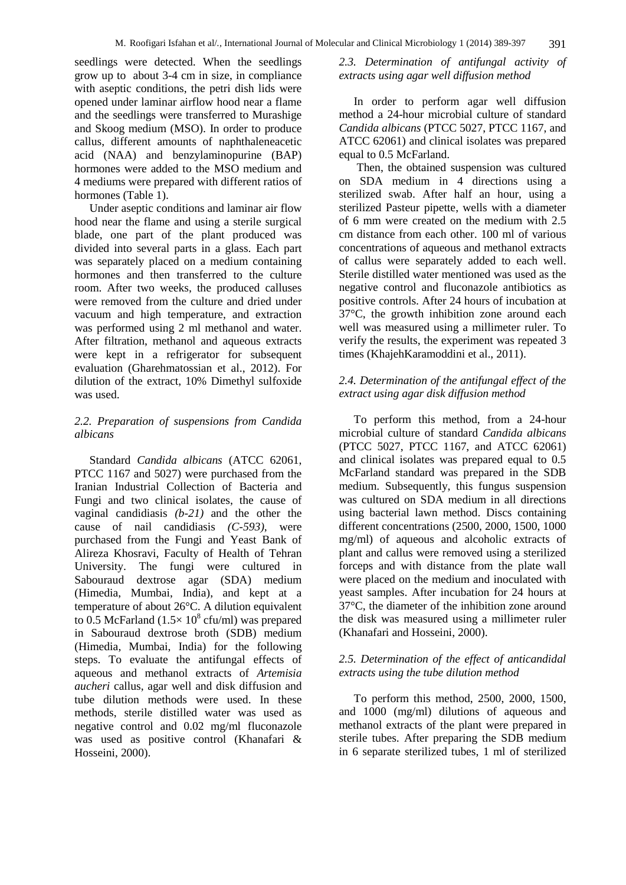seedlings were detected. When the seedlings grow up to about 3-4 cm in size, in compliance with aseptic conditions, the petri dish lids were opened under laminar airflow hood near a flame and the seedlings were transferred to Murashige and Skoog medium (MSO). In order to produce callus, different amounts of naphthaleneacetic acid (NAA) and benzylaminopurine (BAP) hormones were added to the MSO medium and 4 mediums were prepared with different ratios of hormones (Table 1).

Under aseptic conditions and laminar air flow hood near the flame and using a sterile surgical blade, one part of the plant produced was divided into several parts in a glass. Each part was separately placed on a medium containing hormones and then transferred to the culture room. After two weeks, the produced calluses were removed from the culture and dried under vacuum and high temperature, and extraction was performed using 2 ml methanol and water. After filtration, methanol and aqueous extracts were kept in a refrigerator for subsequent evaluation (Gharehmatossian et al., 2012). For dilution of the extract, 10% Dimethyl sulfoxide was used.

#### *2.2. Preparation of suspensions from Candida albicans*

Standard *Candida albicans* (ATCC 62061, PTCC 1167 and 5027) were purchased from the Iranian Industrial Collection of Bacteria and Fungi and two clinical isolates, the cause of vaginal candidiasis *(b-21)* and the other the cause of nail candidiasis *(C-593)*, were purchased from the Fungi and Yeast Bank of Alireza Khosravi, Faculty of Health of Tehran University. The fungi were cultured in Sabouraud dextrose agar (SDA) medium (Himedia, Mumbai, India), and kept at a temperature of about 26°C. A dilution equivalent to 0.5 McFarland  $(1.5 \times 10^8 \text{ cftt/ml})$  was prepared in Sabouraud dextrose broth (SDB) medium (Himedia, Mumbai, India) for the following steps. To evaluate the antifungal effects of aqueous and methanol extracts of *Artemisia aucheri* callus, agar well and disk diffusion and tube dilution methods were used. In these methods, sterile distilled water was used as negative control and 0.02 mg/ml fluconazole was used as positive control (Khanafari & Hosseini, 2000).

#### *2.3. Determination of antifungal activity of extracts using agar well diffusion method*

In order to perform agar well diffusion method a 24-hour microbial culture of standard *Candida albicans* (PTCC 5027, PTCC 1167, and ATCC 62061) and clinical isolates was prepared equal to 0.5 McFarland.

Then, the obtained suspension was cultured on SDA medium in 4 directions using a sterilized swab. After half an hour, using a sterilized Pasteur pipette, wells with a diameter of 6 mm were created on the medium with 2.5 cm distance from each other. 100 ml of various concentrations of aqueous and methanol extracts of callus were separately added to each well. Sterile distilled water mentioned was used as the negative control and fluconazole antibiotics as positive controls. After 24 hours of incubation at 37°C, the growth inhibition zone around each well was measured using a millimeter ruler. To verify the results, the experiment was repeated 3 times (KhajehKaramoddini et al., 2011).

#### *2.4. Determination of the antifungal effect of the extract using agar disk diffusion method*

To perform this method, from a 24-hour microbial culture of standard *Candida albicans* (PTCC 5027, PTCC 1167, and ATCC 62061) and clinical isolates was prepared equal to 0.5 McFarland standard was prepared in the SDB medium. Subsequently, this fungus suspension was cultured on SDA medium in all directions using bacterial lawn method. Discs containing different concentrations (2500, 2000, 1500, 1000 mg/ml) of aqueous and alcoholic extracts of plant and callus were removed using a sterilized forceps and with distance from the plate wall were placed on the medium and inoculated with yeast samples. After incubation for 24 hours at 37°C, the diameter of the inhibition zone around the disk was measured using a millimeter ruler (Khanafari and Hosseini, 2000).

#### *2.5. Determination of the effect of anticandidal extracts using the tube dilution method*

To perform this method, 2500, 2000, 1500, and 1000 (mg/ml) dilutions of aqueous and methanol extracts of the plant were prepared in sterile tubes. After preparing the SDB medium in 6 separate sterilized tubes, 1 ml of sterilized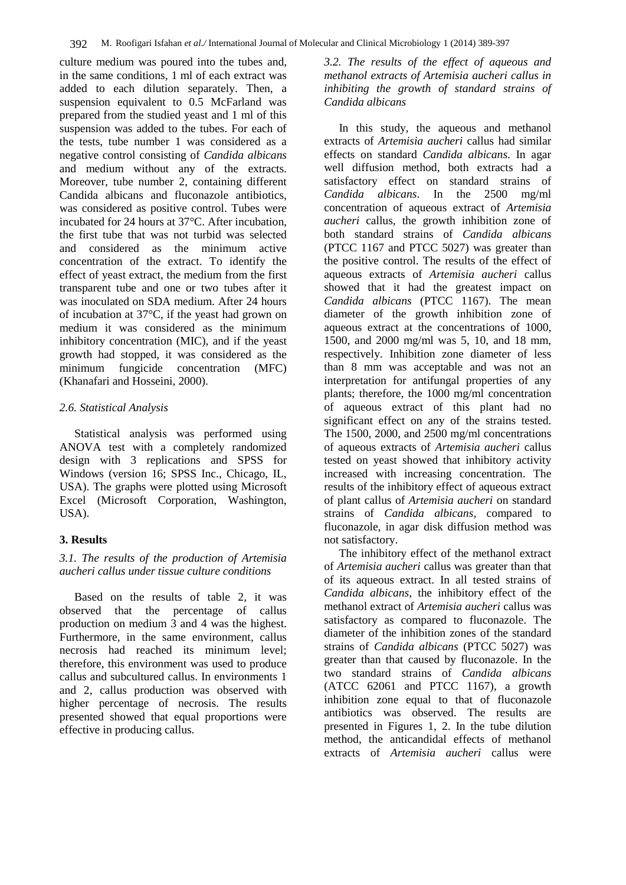culture medium was poured into the tubes and, in the same conditions, 1 ml of each extract was added to each dilution separately. Then, a suspension equivalent to 0.5 McFarland was prepared from the studied yeast and 1 ml of this suspension was added to the tubes. For each of the tests, tube number 1 was considered as a negative control consisting of *Candida albicans* and medium without any of the extracts. Moreover, tube number 2, containing different Candida albicans and fluconazole antibiotics, was considered as positive control. Tubes were incubated for 24 hours at 37°C. After incubation, the first tube that was not turbid was selected and considered as the minimum active concentration of the extract. To identify the effect of yeast extract, the medium from the first transparent tube and one or two tubes after it was inoculated on SDA medium. After 24 hours of incubation at 37°C, if the yeast had grown on medium it was considered as the minimum inhibitory concentration (MIC), and if the yeast growth had stopped, it was considered as the minimum fungicide concentration (MFC) (Khanafari and Hosseini, 2000).

#### *2.6. Statistical Analysis*

Statistical analysis was performed using ANOVA test with a completely randomized design with 3 replications and SPSS for Windows (version 16; SPSS Inc., Chicago, IL, USA). The graphs were plotted using Microsoft Excel (Microsoft Corporation, Washington, USA).

# **3. Results**

## *3.1. The results of the production of Artemisia aucheri callus under tissue culture conditions*

Based on the results of table 2, it was observed that the percentage of callus production on medium 3 and 4 was the highest. Furthermore, in the same environment, callus necrosis had reached its minimum level; therefore, this environment was used to produce callus and subcultured callus. In environments 1 and 2, callus production was observed with higher percentage of necrosis. The results presented showed that equal proportions were effective in producing callus.

*3.2. The results of the effect of aqueous and methanol extracts of Artemisia aucheri callus in inhibiting the growth of standard strains of Candida albicans* 

In this study, the aqueous and methanol extracts of *Artemisia aucheri* callus had similar effects on standard *Candida albicans*. In agar well diffusion method, both extracts had a satisfactory effect on standard strains of *Candida albicans*. In the 2500 mg/ml concentration of aqueous extract of *Artemisia aucheri* callus, the growth inhibition zone of both standard strains of *Candida albicans* (PTCC 1167 and PTCC 5027) was greater than the positive control. The results of the effect of aqueous extracts of *Artemisia aucheri* callus showed that it had the greatest impact on *Candida albicans* (PTCC 1167). The mean diameter of the growth inhibition zone of aqueous extract at the concentrations of 1000, 1500, and 2000 mg/ml was 5, 10, and 18 mm, respectively. Inhibition zone diameter of less than 8 mm was acceptable and was not an interpretation for antifungal properties of any plants; therefore, the 1000 mg/ml concentration of aqueous extract of this plant had no significant effect on any of the strains tested. The 1500, 2000, and 2500 mg/ml concentrations of aqueous extracts of *Artemisia aucheri* callus tested on yeast showed that inhibitory activity increased with increasing concentration. The results of the inhibitory effect of aqueous extract of plant callus of *Artemisia aucheri* on standard strains of *Candida albicans*, compared to fluconazole, in agar disk diffusion method was not satisfactory.

The inhibitory effect of the methanol extract of *Artemisia aucheri* callus was greater than that of its aqueous extract. In all tested strains of *Candida albicans*, the inhibitory effect of the methanol extract of *Artemisia aucheri* callus was satisfactory as compared to fluconazole. The diameter of the inhibition zones of the standard strains of *Candida albicans* (PTCC 5027) was greater than that caused by fluconazole. In the two standard strains of *Candida albicans* (ATCC 62061 and PTCC 1167), a growth inhibition zone equal to that of fluconazole antibiotics was observed. The results are presented in Figures 1, 2. In the tube dilution method, the anticandidal effects of methanol extracts of *Artemisia aucheri* callus were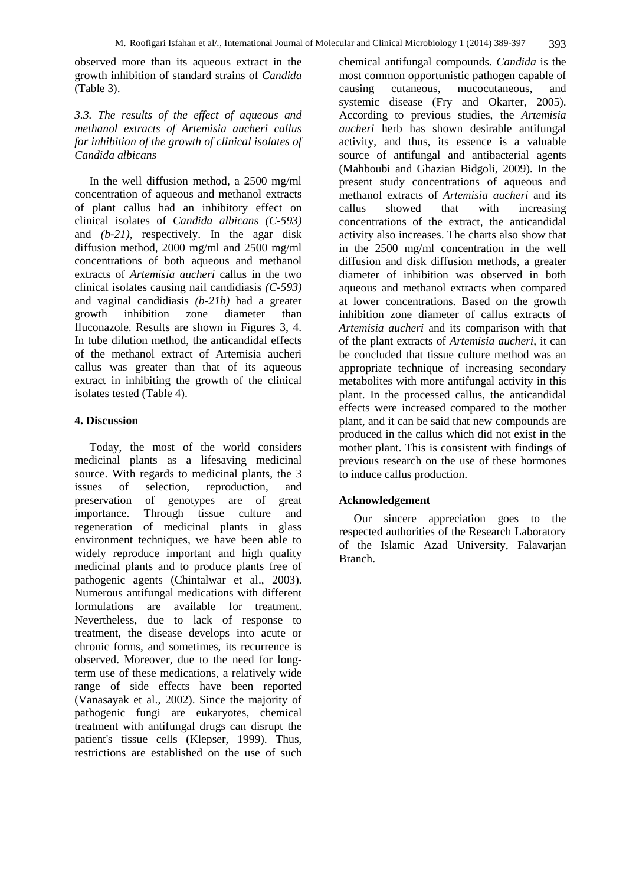observed more than its aqueous extract in the growth inhibition of standard strains of *Candida* (Table 3).

#### *3.3. The results of the effect of aqueous and methanol extracts of Artemisia aucheri callus for inhibition of the growth of clinical isolates of Candida albicans*

In the well diffusion method, a 2500 mg/ml concentration of aqueous and methanol extracts of plant callus had an inhibitory effect on clinical isolates of *Candida albicans (C-593)* and *(b-21),* respectively. In the agar disk diffusion method, 2000 mg/ml and 2500 mg/ml concentrations of both aqueous and methanol extracts of *Artemisia aucheri* callus in the two clinical isolates causing nail candidiasis *(C-593)* and vaginal candidiasis *(b-21b)* had a greater growth inhibition zone diameter than fluconazole. Results are shown in Figures 3, 4. In tube dilution method, the anticandidal effects of the methanol extract of Artemisia aucheri callus was greater than that of its aqueous extract in inhibiting the growth of the clinical isolates tested (Table 4).

#### **4. Discussion**

Today, the most of the world considers medicinal plants as a lifesaving medicinal source. With regards to medicinal plants, the 3 issues of selection, reproduction, and preservation of genotypes are of great importance. Through tissue culture and regeneration of medicinal plants in glass environment techniques, we have been able to widely reproduce important and high quality medicinal plants and to produce plants free of pathogenic agents (Chintalwar et al., 2003). Numerous antifungal medications with different formulations are available for treatment. Nevertheless, due to lack of response to treatment, the disease develops into acute or chronic forms, and sometimes, its recurrence is observed. Moreover, due to the need for longterm use of these medications, a relatively wide range of side effects have been reported (Vanasayak et al., 2002). Since the majority of pathogenic fungi are eukaryotes, chemical treatment with antifungal drugs can disrupt the patient's tissue cells (Klepser, 1999). Thus, restrictions are established on the use of such chemical antifungal compounds. *Candida* is the most common opportunistic pathogen capable of<br>causing cutaneous, mucocutaneous, and causing cutaneous, mucocutaneous, and systemic disease (Fry and Okarter, 2005). According to previous studies, the *Artemisia aucheri* herb has shown desirable antifungal activity, and thus, its essence is a valuable source of antifungal and antibacterial agents (Mahboubi and Ghazian Bidgoli, 2009). In the present study concentrations of aqueous and methanol extracts of *Artemisia aucheri* and its callus showed that with increasing concentrations of the extract, the anticandidal activity also increases. The charts also show that in the 2500 mg/ml concentration in the well diffusion and disk diffusion methods, a greater diameter of inhibition was observed in both aqueous and methanol extracts when compared at lower concentrations. Based on the growth inhibition zone diameter of callus extracts of *Artemisia aucheri* and its comparison with that of the plant extracts of *Artemisia aucheri*, it can be concluded that tissue culture method was an appropriate technique of increasing secondary metabolites with more antifungal activity in this plant. In the processed callus, the anticandidal effects were increased compared to the mother plant, and it can be said that new compounds are produced in the callus which did not exist in the mother plant. This is consistent with findings of previous research on the use of these hormones to induce callus production.

#### **Acknowledgement**

Our sincere appreciation goes to the respected authorities of the Research Laboratory of the Islamic Azad University, Falavarjan Branch.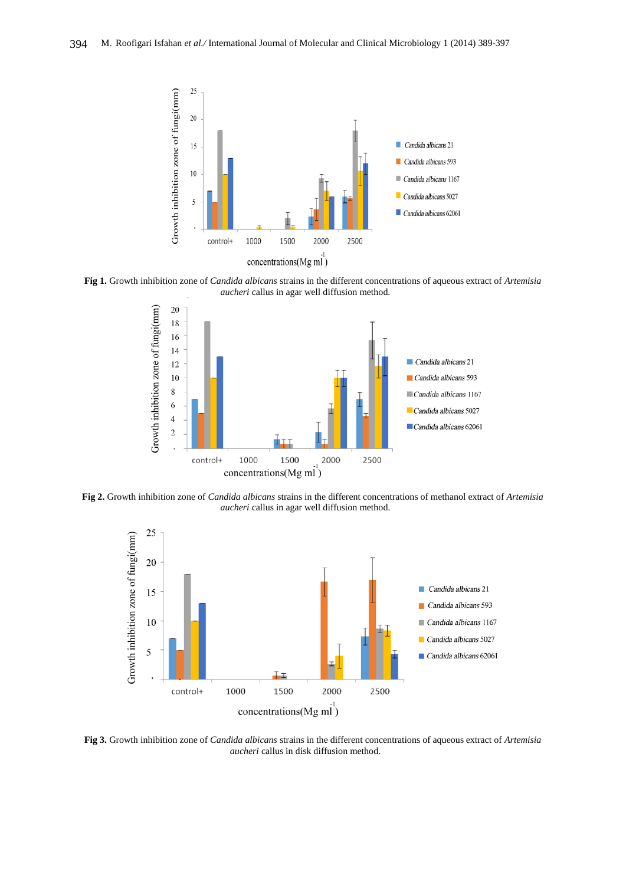

**Fig 1.** Growth inhibition zone of *Candida albicans* strains in the different concentrations of aqueous extract of *Artemisia aucheri* callus in agar well diffusion method.



**Fig 2.** Growth inhibition zone of *Candida albicans* strains in the different concentrations of methanol extract of *Artemisia aucheri* callus in agar well diffusion method.



**Fig 3.** Growth inhibition zone of *Candida albicans* strains in the different concentrations of aqueous extract of *Artemisia aucheri* callus in disk diffusion method.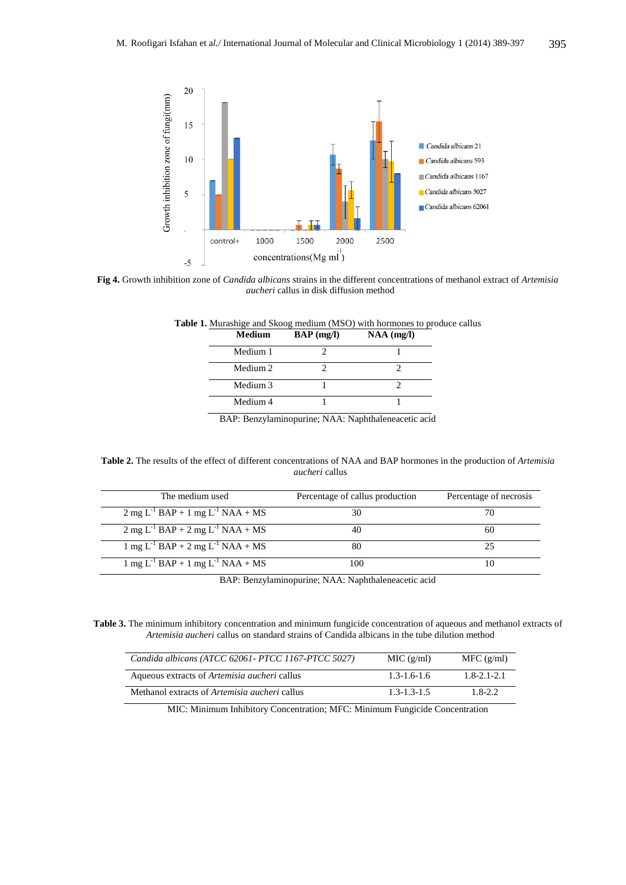

**Fig 4.** Growth inhibition zone of *Candida albicans* strains in the different concentrations of methanol extract of *Artemisia aucheri* callus in disk diffusion method

| Medium              | $BAP$ (mg/l) | $NAA$ (mg/l) |
|---------------------|--------------|--------------|
| Medium 1            |              |              |
| Medium <sub>2</sub> |              |              |
| Medium 3            |              |              |
| Medium 4            |              |              |

**Table 1.** Murashige and Skoog medium (MSO) with hormones to produce callus

BAP: Benzylaminopurine; NAA: Naphthaleneacetic acid

#### **Table 2.** The results of the effect of different concentrations of NAA and BAP hormones in the production of *Artemisia aucheri* callus

| The medium used                                                                   | Percentage of callus production | Percentage of necrosis |
|-----------------------------------------------------------------------------------|---------------------------------|------------------------|
| $2 \text{ mg } L^{-1}$ BAP + 1 mg $L^{-1}$ NAA + MS                               |                                 |                        |
| $2 \text{ mg } L^{-1} \text{ BAP} + 2 \text{ mg } L^{-1} \text{ NAA} + \text{MS}$ |                                 | 60                     |
| 1 mg L <sup>-1</sup> BAP + 2 mg L <sup>-1</sup> NAA + MS                          |                                 |                        |
| $1 \text{ mg } L^{-1}$ BAP + 1 mg L <sup>-1</sup> NAA + MS                        | 0 <sup>0</sup>                  |                        |

BAP: Benzylaminopurine; NAA: Naphthaleneacetic acid

**Table 3.** The minimum inhibitory concentration and minimum fungicide concentration of aqueous and methanol extracts of *Artemisia aucheri* callus on standard strains of Candida albicans in the tube dilution method

| Candida albicans (ATCC 62061 - PTCC 1167 - PTCC 5027) | MIC (g/ml)        | MFC (g/ml)        |
|-------------------------------------------------------|-------------------|-------------------|
| Aqueous extracts of <i>Artemisia aucheri</i> callus   | $1.3 - 1.6 - 1.6$ | $1.8 - 2.1 - 2.1$ |
| Methanol extracts of <i>Artemisia aucheri</i> callus  | $1.3 - 1.3 - 1.5$ | $1.8 - 2.2$       |

MIC: Minimum Inhibitory Concentration; MFC: Minimum Fungicide Concentration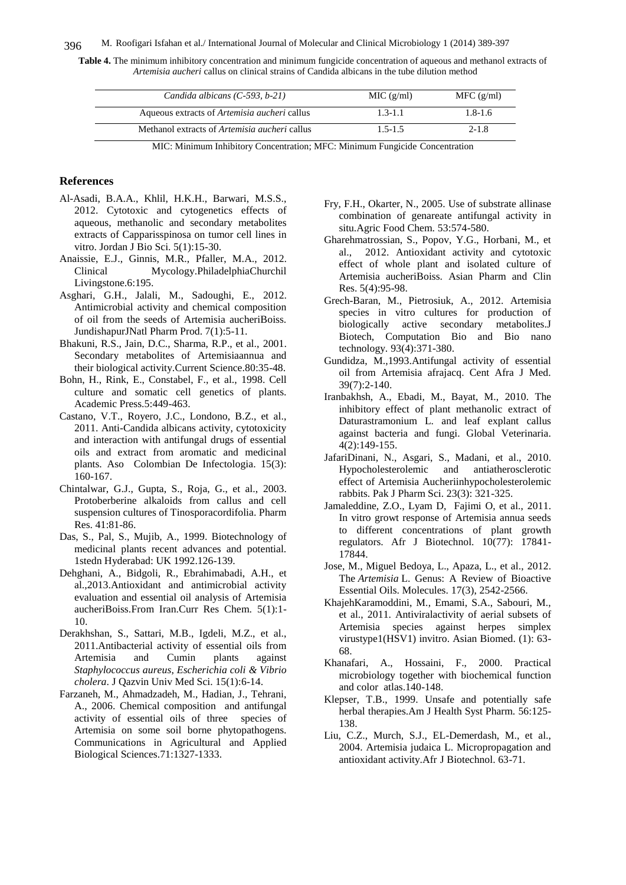#### 396 M. Roofigari Isfahan et al./ International Journal of Molecular and Clinical Microbiology 1 (2014) 389-397

**Table 4.** The minimum inhibitory concentration and minimum fungicide concentration of aqueous and methanol extracts of *Artemisia aucheri* callus on clinical strains of Candida albicans in the tube dilution method

| Candida albicans $(C-593, b-21)$                                            | MIC (g/ml)<br>MFC (g/ml) |
|-----------------------------------------------------------------------------|--------------------------|
| Aqueous extracts of <i>Artemisia aucheri</i> callus                         | $1.8 - 1.6$              |
| Methanol extracts of <i>Artemisia aucheri</i> callus                        |                          |
| MIC: Minimum Inhibitory Concentration; MFC: Minimum Fungicide Concentration | $1.5 - 1.5$              |

#### **References**

- Al-Asadi, B.A.A., Khlil, H.K.H., Barwari, M.S.S., 2012. Cytotoxic and cytogenetics effects of aqueous, methanolic and secondary metabolites extracts of Capparisspinosa on tumor cell lines in vitro. Jordan J Bio Sci. 5(1):15-30.
- Anaissie, E.J., Ginnis, M.R., Pfaller, M.A., 2012. Clinical Mycology.PhiladelphiaChurchil Livingstone.6:195.
- Asghari, G.H., Jalali, M., Sadoughi, E., 2012. Antimicrobial activity and chemical composition of oil from the seeds of Artemisia aucheriBoiss. JundishapurJNatl Pharm Prod. 7(1):5-11.
- Bhakuni, R.S., Jain, D.C., Sharma, R.P., et al., 2001. Secondary metabolites of Artemisiaannua and their biological activity.Current Science.80:35-48.
- Bohn, H., Rink, E., Constabel, F., et al., 1998. Cell culture and somatic cell genetics of plants. Academic Press.5:449-463.
- Castano, V.T., Royero, J.C., Londono, B.Z., et al., 2011. Anti-Candida albicans activity, cytotoxicity and interaction with antifungal drugs of essential oils and extract from aromatic and medicinal plants. Aso Colombian De Infectologia. 15(3): 160-167.
- Chintalwar, G.J., Gupta, S., Roja, G., et al., 2003. Protoberberine alkaloids from callus and cell suspension cultures of Tinosporacordifolia. Pharm Res. 41:81-86.
- Das, S., Pal, S., Mujib, A., 1999. Biotechnology of medicinal plants recent advances and potential. 1stedn Hyderabad: UK 1992.126-139.
- Dehghani, A., Bidgoli, R., Ebrahimabadi, A.H., et al.,2013.Antioxidant and antimicrobial activity evaluation and essential oil analysis of Artemisia aucheriBoiss.From Iran.Curr Res Chem. 5(1):1- 10.
- Derakhshan, S., Sattari, M.B., Igdeli, M.Z., et al., 2011.Antibacterial activity of essential oils from Artemisia and Cumin plants against *Staphylococcus aureus*, *Escherichia coli & Vibrio cholera*. J Qazvin Univ Med Sci. 15(1):6-14.
- Farzaneh, M., Ahmadzadeh, M., Hadian, J., Tehrani, A., 2006. Chemical composition and antifungal activity of essential oils of three species of Artemisia on some soil borne phytopathogens. Communications in Agricultural and Applied Biological Sciences.71:1327-1333.
- Fry, F.H., Okarter, N., 2005. Use of substrate allinase combination of genareate antifungal activity in situ.Agric Food Chem. 53:574-580.
- Gharehmatrossian, S., Popov, Y.G., Horbani, M., et al., 2012. Antioxidant activity and cytotoxic effect of whole plant and isolated culture of Artemisia aucheriBoiss. Asian Pharm and Clin Res. 5(4):95-98.
- Grech-Baran, M., Pietrosiuk, A., 2012. Artemisia species in vitro cultures for production of biologically active secondary metabolites.J Biotech, Computation Bio and Bio nano technology. 93(4):371-380.
- Gundidza, M.,1993.Antifungal activity of essential oil from Artemisia afrajacq. Cent Afra J Med. 39(7):2-140.
- Iranbakhsh, A., Ebadi, M., Bayat, M., 2010. The inhibitory effect of plant methanolic extract of Daturastramonium L. and leaf explant callus against bacteria and fungi. Global Veterinaria. 4(2):149-155.
- JafariDinani, N., Asgari, S., Madani, et al., 2010. Hypocholesterolemic and antiatherosclerotic effect of Artemisia Aucheriinhypocholesterolemic rabbits. Pak J Pharm Sci. 23(3): 321-325.
- Jamaleddine, Z.O., Lyam D, Fajimi O, et al., 2011. In vitro growt response of Artemisia annua seeds to different concentrations of plant growth regulators. Afr J Biotechnol. 10(77): 17841- 17844.
- Jose, M., Miguel Bedoya, L., Apaza, L., et al., 2012. The *Artemisia* L. Genus: A Review of Bioactive Essential Oils. Molecules. 17(3), 2542-2566.
- KhajehKaramoddini, M., Emami, S.A., Sabouri, M., et al., 2011. Antiviralactivity of aerial subsets of Artemisia species against herpes simplex virustype1(HSV1) invitro. Asian Biomed. (1): 63- 68.
- Khanafari, A., Hossaini, F., 2000. Practical microbiology together with biochemical function and color atlas.140-148.
- Klepser, T.B., 1999. Unsafe and potentially safe herbal therapies.Am J Health Syst Pharm. 56:125- 138.
- Liu, C.Z., Murch, S.J., EL-Demerdash, M., et al., 2004. Artemisia judaica L. Micropropagation and antioxidant activity.Afr J Biotechnol. 63-71.